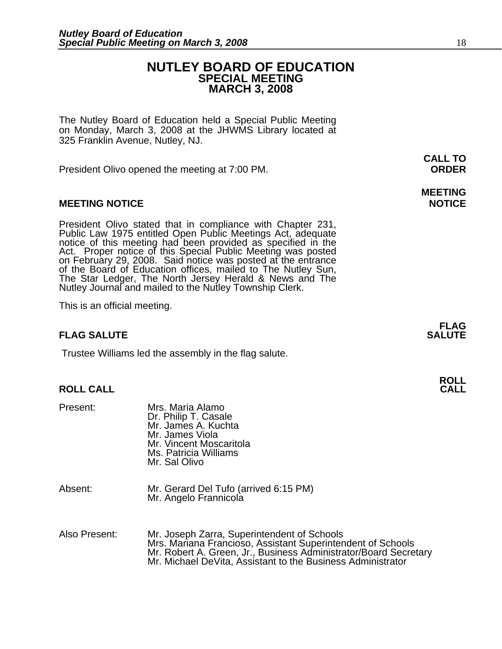### **NUTLEY BOARD OF EDUCATION SPECIAL MEETING MARCH 3, 2008**

The Nutley Board of Education held a Special Public Meeting on Monday, March 3, 2008 at the JHWMS Library located at 325 Franklin Avenue, Nutley, NJ.

President Olivo opened the meeting at 7:00 PM. **ORDER**

### **MEETING NOTICE NOTICE**

President Olivo stated that in compliance with Chapter 231, Public Law 1975 entitled Open Public Meetings Act, adequate notice of this meeting had been provided as specified in the Act. Proper notice of this Special Public of the Board of Education offices, mailed to The Nutley Sun,<br>The Star Ledger, The North Jersey Herald & News and The The Star Ledger, The North Jersey Herald & News and The Nutley Journal and mailed to the Nutley Township Clerk.

This is an official meeting.

### **FLAG SALUTE** SALUTE SALUTE SALUTE SALUTE SALUTE

Trustee Williams led the assembly in the flag salute.

# **ROLL ROLL CALL CALL**

| Present:      | Mrs. Maria Alamo<br>Dr. Philip T. Casale<br>Mr. James A. Kuchta<br>Mr. James Viola<br>Mr. Vincent Moscaritola<br>Ms. Patricia Williams<br>Mr. Sal Olivo                                                                                       |
|---------------|-----------------------------------------------------------------------------------------------------------------------------------------------------------------------------------------------------------------------------------------------|
| Absent:       | Mr. Gerard Del Tufo (arrived 6:15 PM)<br>Mr. Angelo Frannicola                                                                                                                                                                                |
| Also Present: | Mr. Joseph Zarra, Superintendent of Schools<br>Mrs. Mariana Francioso, Assistant Superintendent of Schools<br>Mr. Robert A. Green, Jr., Business Administrator/Board Secretary<br>Mr. Michael DeVita, Assistant to the Business Administrator |

**CALL TO** 

# **MEETING**

**FLAG**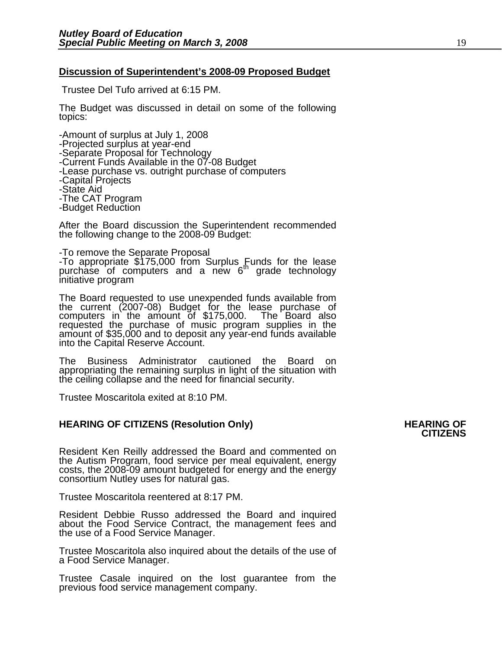### **Discussion of Superintendent's 2008-09 Proposed Budget**

Trustee Del Tufo arrived at 6:15 PM.

The Budget was discussed in detail on some of the following topics:

-Amount of surplus at July 1, 2008 -Projected surplus at year-end -Separate Proposal for Technology<br>-Current Funds Available in the 07-08 Budget -Lease purchase vs. outright purchase of computers<br>-Capital Projects -State Aid -The CAT Program -Budget Reduction

After the Board discussion the Superintendent recommended the following change to the 2008-09 Budget:

-To remove the Separate Proposal -To appropriate \$175,000 from Surplus Funds for the lease purchase of computers and a new 6<sup>th</sup> grade technology initiative program

The Board requested to use unexpended funds available from<br>the current (2007-08) Budget for the lease purchase of<br>computers in the amount of \$175,000. The Board also requested the purchase of music program supplies in the<br>amount of \$35,000 and to deposit any year-end funds available<br>into the Capital Reserve Account.

The Business Administrator cautioned the Board on appropriating the remaining surplus in light of the situation with the ceiling collapse and the need for financial security.

Trustee Moscaritola exited at 8:10 PM.

## **HEARING OF CITIZENS (Resolution Only) HEARING OF CITIZENS**

Resident Ken Reilly addressed the Board and commented on the Autism Program, food service per meal equivalent, energy costs, the 2008-09 amount budgeted for energy and the energy consortium Nutley uses for natural gas.

Trustee Moscaritola reentered at 8:17 PM.

Resident Debbie Russo addressed the Board and inquired about the Food Service Contract, the management fees and the use of a Food Service Manager.

Trustee Moscaritola also inquired about the details of the use of a Food Service Manager.

Trustee Casale inquired on the lost guarantee from the previous food service management company.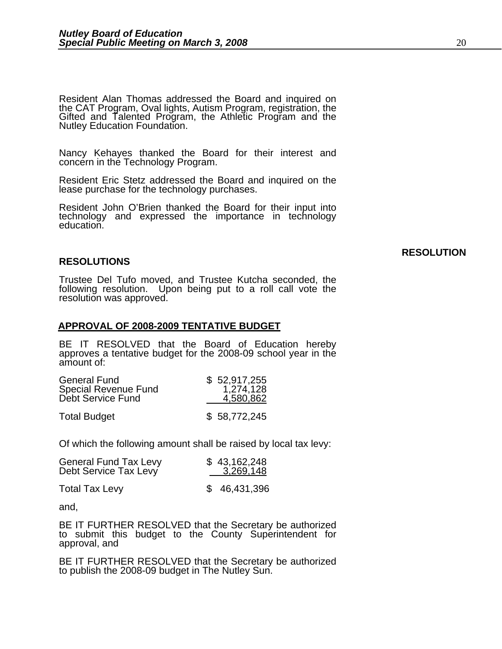Resident Alan Thomas addressed the Board and inquired on the CAT Program, Oval lights, Autism Program, registration, the Gifted and Talented Program, the Athletic Program and the Nutley Education Foundation.

Nancy Kehayes thanked the Board for their interest and concern in the Technology Program.

Resident Eric Stetz addressed the Board and inquired on the lease purchase for the technology purchases.

Resident John O'Brien thanked the Board for their input into technology and expressed the importance in technology education.

### **RESOLUTIONS**

Trustee Del Tufo moved, and Trustee Kutcha seconded, the following resolution. Upon being put to a roll call vote the resolution was approved.

### **APPROVAL OF 2008-2009 TENTATIVE BUDGET**

BE IT RESOLVED that the Board of Education hereby approves a tentative budget for the 2008-09 school year in the amount of:

| <b>General Fund</b>         | \$52,917,255 |
|-----------------------------|--------------|
| <b>Special Revenue Fund</b> | 1,274,128    |
| Debt Service Fund           | 4,580,862    |
| <b>Total Budget</b>         | \$58,772,245 |

Of which the following amount shall be raised by local tax levy:

| <b>General Fund Tax Levy</b> | \$43,162,248 |  |
|------------------------------|--------------|--|
| Debt Service Tax Levy        | 3,269,148    |  |
| <b>Total Tax Levy</b>        | \$46,431,396 |  |

and,

BE IT FURTHER RESOLVED that the Secretary be authorized to submit this budget to the County Superintendent for approval, and

BE IT FURTHER RESOLVED that the Secretary be authorized to publish the 2008-09 budget in The Nutley Sun.

### **RESOLUTION**